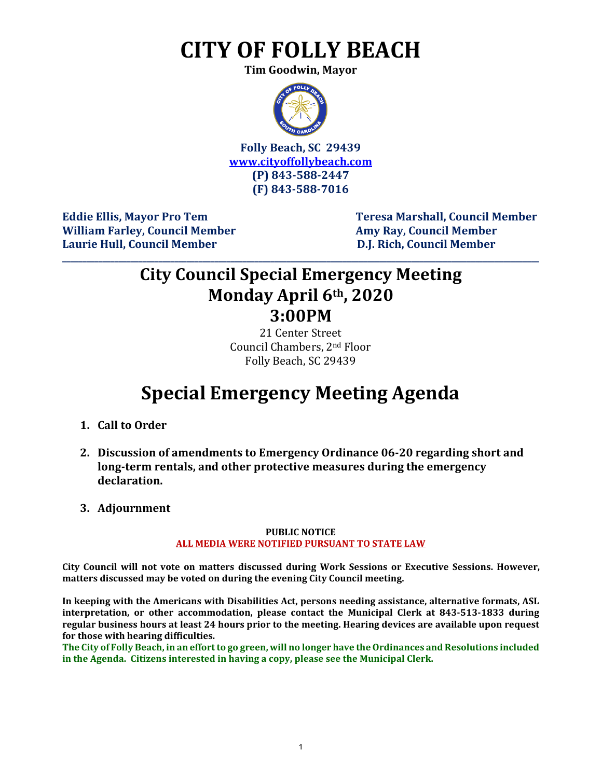# **CITY OF FOLLY BEACH**

**Tim Goodwin, Mayor**



**Folly Beach, SC 29439 [www.cityoffollybeach.com](http://www.cityoffollybeach.com/) (P) 843-588-2447 (F) 843-588-7016**

William Farley, Council Member **Amy Ray, Council Member Amy Ray, Council Member Laurie Hull, Council Member D.J. Rich, Council Member**

**Eddie Ellis, Mayor Pro Tem Teresa Marshall, Council Member**

### **City Council Special Emergency Meeting Monday April 6th, 2020 3:00PM**

**\_\_\_\_\_\_\_\_\_\_\_\_\_\_\_\_\_\_\_\_\_\_\_\_\_\_\_\_\_\_\_\_\_\_\_\_\_\_\_\_\_\_\_\_\_\_\_\_\_\_\_\_\_\_\_\_\_\_\_\_\_\_\_\_\_\_\_\_\_\_\_\_\_\_\_\_\_\_\_\_\_\_\_\_\_\_\_\_\_\_\_\_\_\_\_\_\_\_\_\_\_\_\_\_\_\_\_\_\_\_\_\_\_\_\_\_\_\_\_**

21 Center Street Council Chambers, 2nd Floor Folly Beach, SC 29439

## **Special Emergency Meeting Agenda**

- **1. Call to Order**
- **2. Discussion of amendments to Emergency Ordinance 06-20 regarding short and long-term rentals, and other protective measures during the emergency declaration.**
- **3. Adjournment**

#### **PUBLIC NOTICE ALL MEDIA WERE NOTIFIED PURSUANT TO STATE LAW**

**City Council will not vote on matters discussed during Work Sessions or Executive Sessions. However, matters discussed may be voted on during the evening City Council meeting.** 

**In keeping with the Americans with Disabilities Act, persons needing assistance, alternative formats, ASL interpretation, or other accommodation, please contact the Municipal Clerk at 843-513-1833 during regular business hours at least 24 hours prior to the meeting. Hearing devices are available upon request for those with hearing difficulties.**

**The City of Folly Beach, in an effort to go green, will no longer have the Ordinances and Resolutions included in the Agenda. Citizens interested in having a copy, please see the Municipal Clerk.**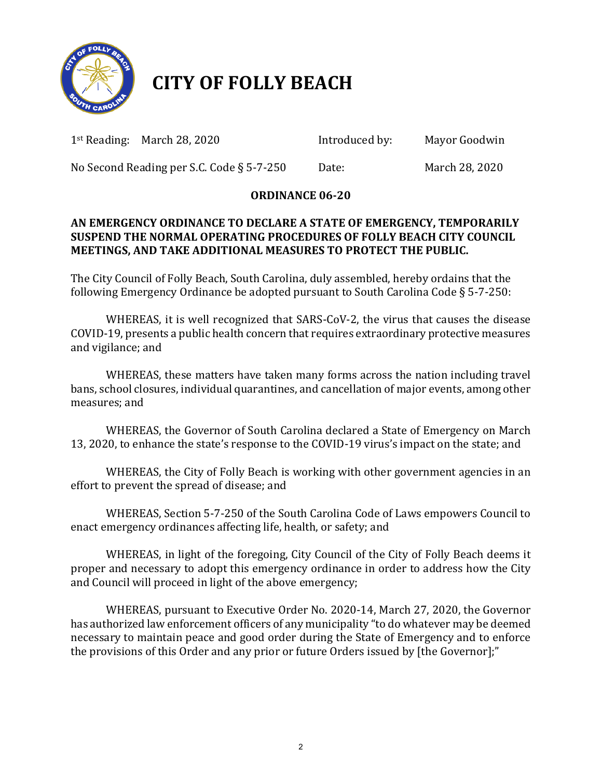

## **CITY OF FOLLY BEACH**

1st Reading: March 28, 2020 Introduced by:Mayor Goodwin

No Second Reading per S.C. Code § 5-7-250 Date: March 28, 2020

### **ORDINANCE 06-20**

### **AN EMERGENCY ORDINANCE TO DECLARE A STATE OF EMERGENCY, TEMPORARILY SUSPEND THE NORMAL OPERATING PROCEDURES OF FOLLY BEACH CITY COUNCIL MEETINGS, AND TAKE ADDITIONAL MEASURES TO PROTECT THE PUBLIC.**

The City Council of Folly Beach, South Carolina, duly assembled, hereby ordains that the following Emergency Ordinance be adopted pursuant to South Carolina Code § 5-7-250:

WHEREAS, it is well recognized that SARS-CoV-2, the virus that causes the disease COVID-19, presents a public health concern that requires extraordinary protective measures and vigilance; and

WHEREAS, these matters have taken many forms across the nation including travel bans, school closures, individual quarantines, and cancellation of major events, among other measures; and

WHEREAS, the Governor of South Carolina declared a State of Emergency on March 13, 2020, to enhance the state's response to the COVID-19 virus's impact on the state; and

WHEREAS, the City of Folly Beach is working with other government agencies in an effort to prevent the spread of disease; and

WHEREAS, Section 5-7-250 of the South Carolina Code of Laws empowers Council to enact emergency ordinances affecting life, health, or safety; and

WHEREAS, in light of the foregoing, City Council of the City of Folly Beach deems it proper and necessary to adopt this emergency ordinance in order to address how the City and Council will proceed in light of the above emergency;

WHEREAS, pursuant to Executive Order No. 2020-14, March 27, 2020, the Governor has authorized law enforcement officers of any municipality "to do whatever may be deemed necessary to maintain peace and good order during the State of Emergency and to enforce the provisions of this Order and any prior or future Orders issued by [the Governor];"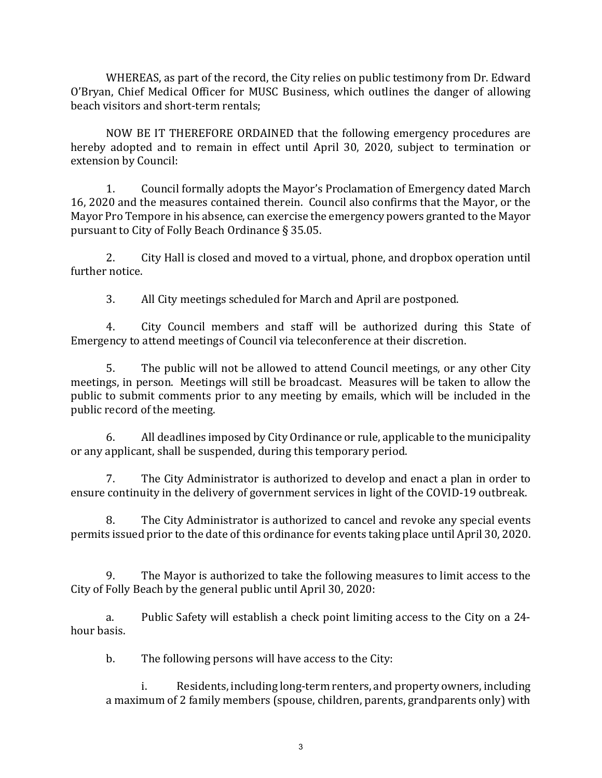WHEREAS, as part of the record, the City relies on public testimony from Dr. Edward O'Bryan, Chief Medical Officer for MUSC Business, which outlines the danger of allowing beach visitors and short-term rentals;

NOW BE IT THEREFORE ORDAINED that the following emergency procedures are hereby adopted and to remain in effect until April 30, 2020, subject to termination or extension by Council:

1. Council formally adopts the Mayor's Proclamation of Emergency dated March 16, 2020 and the measures contained therein. Council also confirms that the Mayor, or the Mayor Pro Tempore in his absence, can exercise the emergency powers granted to the Mayor pursuant to City of Folly Beach Ordinance § 35.05.

2. City Hall is closed and moved to a virtual, phone, and dropbox operation until further notice.

3. All City meetings scheduled for March and April are postponed.

4. City Council members and staff will be authorized during this State of Emergency to attend meetings of Council via teleconference at their discretion.

5. The public will not be allowed to attend Council meetings, or any other City meetings, in person. Meetings will still be broadcast. Measures will be taken to allow the public to submit comments prior to any meeting by emails, which will be included in the public record of the meeting.

6. All deadlines imposed by City Ordinance or rule, applicable to the municipality or any applicant, shall be suspended, during this temporary period.

 7. The City Administrator is authorized to develop and enact a plan in order to ensure continuity in the delivery of government services in light of the COVID-19 outbreak.

8. The City Administrator is authorized to cancel and revoke any special events permits issued prior to the date of this ordinance for events taking place until April 30, 2020.

9. The Mayor is authorized to take the following measures to limit access to the City of Folly Beach by the general public until April 30, 2020:

a. Public Safety will establish a check point limiting access to the City on a 24 hour basis.

b. The following persons will have access to the City:

i. Residents, including long-term renters, and property owners, including a maximum of 2 family members (spouse, children, parents, grandparents only) with